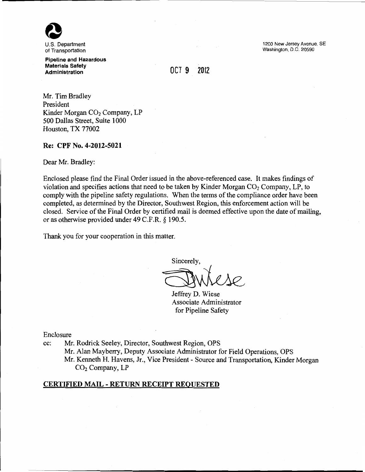

of Transportation

Pipeline and Hazardous Materials Safety **Administration** 

1200 New Jersey Avenue, SE Washington, D.C. 20590

# OCT 9 2012

Mr. Tim Bradley President Kinder Morgan CO<sub>2</sub> Company, LP 500 Dallas Street, Suite 1 000 Houston, TX 77002

#### Re: CPF No. 4-2012-5021

Dear Mr. Bradley:

Enclosed please find the Final Order issued in the above-referenced case. It makes findings of violation and specifies actions that need to be taken by Kinder Morgan  $CO<sub>2</sub>$  Company, LP, to comply with the pipeline safety regulations. When the terms of the compliance order have been completed, as determined by the Director, Southwest Region, this enforcement action will be closed. Service of the Final Order by certified mail is deemed effective upon the date of mailing, or as otherwise provided under 49 C.F.R. § 190.5.

Thank you for your cooperation in this matter.

Sincerely,

Jeffrey D. Wiese Associate Administrator for Pipeline Safety

Enclosure

cc: Mr. Rodrick Seeley, Director, Southwest Region, OPS

Mr. Alan Mayberry, Deputy Associate Administrator for Field Operations, OPS Mr. Kenneth H. Havens, Jr., Vice President- Source and Transportation, Kinder Morgan CO<sub>2</sub> Company, LP

#### CERTIFIED MAIL- RETURN RECEIPT REQUESTED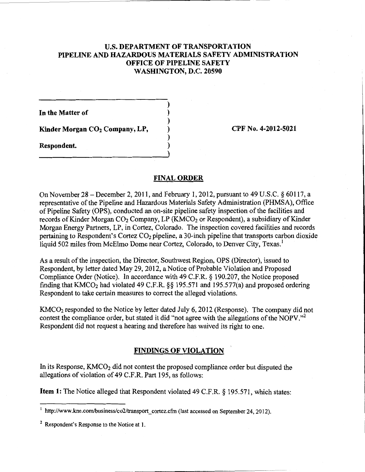## U.S. DEPARTMENT OF TRANSPORTATION PIPELINE AND HAZARDOUS MATERIALS SAFETY ADMINISTRATION OFFICE OF PIPELINE SAFETY WASHINGTON, D.C. 20590

) ) ) ) ) )

In the Matter of

Kinder Morgan CO<sub>2</sub> Company, LP,

Respondent.

CPF No. 4-2012-5021

### FINAL ORDER

On November 28- December 2, 2011, and February 1, 2012, pursuant to 49 U.S.C. *§* 60117, a representative of the Pipeline and Hazardous Materials Safety Administration (PHMSA), Office of Pipeline Safety (OPS), conducted an on-site pipeline safety inspection of the facilities and records of Kinder Morgan  $CO<sub>2</sub>$  Company, LP (KMCO<sub>2</sub> or Respondent), a subsidiary of Kinder Morgan Energy Partners, LP, in Cortez, Colorado. The inspection covered facilities and records pertaining to Respondent's Cortez C02 pipeline, a 30-inch pipeline that transports carbon dioxide liquid 502 miles from McElmo Dome near Cortez, Colorado, to Denver City, Texas.<sup>1</sup>

As a result of the inspection, the Director, Southwest Region, OPS (Director), issued to Respondent, by letter dated May 29, 2012, a Notice of Probable Violation and Proposed Compliance Order (Notice). In accordance with 49 C.F.R. *§* 190.207, the Notice proposed finding that  $KMCO<sub>2</sub>$  had violated 49 C.F.R.  $\S$ § 195.571 and 195.577(a) and proposed ordering Respondent to take certain measures to correct the alleged violations.

KMC02 responded to the Notice by letter dated July 6, 2012 (Response). The company did not contest the compliance order, but stated it did "not agree with the allegations of the NOPV."<sup>2</sup> Respondent did not request a hearing and therefore has waived its right to one.

### FINDINGS OF VIOLATION

In its Response,  $KMCO<sub>2</sub>$  did not contest the proposed compliance order but disputed the allegations of violation of 49 C.F.R. Part 195, as follows:

Item 1: The Notice alleged that Respondent violated 49 C.F.R. § 195.571, which states:

http://www.kne.com/business/co2/transport cortez.cfm (last accessed on September 24, 2012).

<sup>&</sup>lt;sup>2</sup> Respondent's Response to the Notice at 1.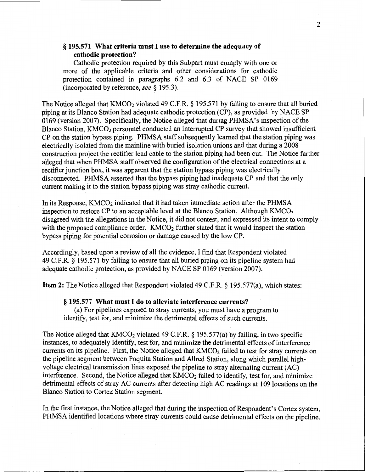### § 195.571 What criteria mustl use to determine the adequacy of cathodic protection?

Cathodic protection required by this Subpart must comply with one or more of the applicable criteria and other considerations for cathodic protection contained in paragraphs 6.2 and 6.3 of NACE SP 0169 (incorporated by reference, see§ 195.3).

The Notice alleged that  $KMCO<sub>2</sub>$  violated 49 C.F.R. § 195.571 by failing to ensure that all buried piping at its Blanco Station had adequate cathodic protection (CP), as provided by NACE SP 0169 (version 2007). Specifically, the Notice alleged that during PHMSA's inspection of the Blanco Station, KMCO<sub>2</sub> personnel conducted an interrupted CP survey that showed insufficient CP on the station bypass piping. PHMSA staff subsequently learned that the station piping was electrically isolated from the mainline with buried isolation unions and that during a 2008 construction project the rectifier lead cable to the station piping had been cut. The Notice further alleged that when PHMSA staff observed the configuration of the electrical connections at a rectifier junction box, it was apparent that the station bypass piping was electrically disconnected. PHMSA asserted that the bypass piping had inadequate CP and that the only current making it to the station bypass piping was stray cathodic current.

In its Response, KMCO<sub>2</sub> indicated that it had taken immediate action after the PHMSA inspection to restore CP to an acceptable level at the Blanco Station. Although  $KMCO<sub>2</sub>$ disagreed with the allegations in the Notice, it did not contest, and expressed its intent to comply with the proposed compliance order.  $KMCO<sub>2</sub>$  further stated that it would inspect the station bypass piping for potential corrosion or damage caused by the low CP.

Accordingly, based upon a review of all the evidence, I find that Respondent violated 49 C.F.R. § 195.571 by failing to ensure that all buried piping on its pipeline system had adequate cathodic protection, as provided by NACE SP 0169 (version 2007).

Item 2: The Notice alleged that Respondent violated 49 C.F.R. § 195.577(a), which states:

#### § 195.577 What must I do to alleviate interference currents?

(a) For pipelines exposed to stray currents, you must have a program to identify, test for, and minimize the detrimental effects of such currents.

The Notice alleged that  $KMCO_2$  violated 49 C.F.R. § 195.577(a) by failing, in two specific instances, to adequately identify, test for, and minimize the detrimental effects of interference currents on its pipeline. First, the Notice alleged that KMCO<sub>2</sub> failed to test for stray currents on the pipeline segment between Poquita Station and Allred Station, along which parallel highvoltage electrical transmission lines exposed the pipeline to stray alternating current (AC) interference. Second, the Notice alleged that  $KMCO<sub>2</sub>$  failed to identify, test for, and minimize detrimental effects of stray AC currents after detecting high AC readings at 109 locations on the Blanco Station to Cortez Station segment.

In the first instance, the Notice alleged that during the inspection of Respondent's Cortez system, PHMSA identified locations where stray currents could cause detrimental effects on the pipeline.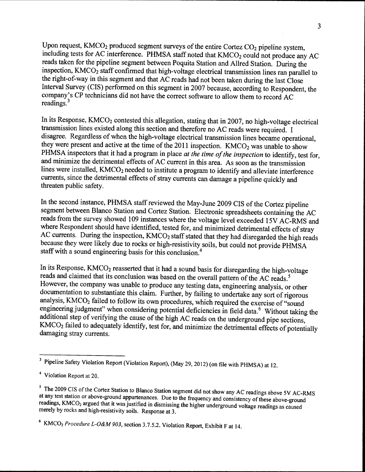Upon request,  $KMCO<sub>2</sub>$  produced segment surveys of the entire Cortez  $CO<sub>2</sub>$  pipeline system, including tests for AC interference. PHMSA staff noted that KMCO<sub>2</sub> could not produce any AC reads taken for the pipeline segment between Poquita Station and Allred Station. During the inspection, KMC02 staff confirmed that high-voltage electrical transmission lines ran parallel to the right-of-way in this segment and that AC reads had not been taken during the last Close Interval Survey (CIS) performed on this segment in 2007 because, according to Respondent, the company's CP technicians did not have the correct software to allow them to record AC readings.<sup>3</sup>

In its Response, KMCO<sub>2</sub> contested this allegation, stating that in 2007, no high-voltage electrical transmission lines existed along this section and therefore no AC reads were required. I disagree. Regardless of when the high-voltage electrical transmission lines became operational, they were present and active at the time of the 2011 inspection.  $KMCO<sub>2</sub>$  was unable to show PHMSA inspectors that it had a program in place *at the time of the inspection* to identify, test for, and minimize the detrimental effects of AC current in this area. As soon as the transmission lines were installed, KMCO<sub>2</sub> needed to institute a program to identify and alleviate interference currents, since the detrimental effects of stray currents can damage a pipeline quickly and threaten public safety.

In the second instance, PHMSA staff reviewed the May-June 2009 CIS of the Cortez pipeline segment between Blanco Station and Cortez Station. Electronic spreadsheets containing the AC reads from the survey showed 109 instances where the voltage level exceeded 15V AC-RMS and where Respondent should have identified, tested for, and minimized detrimental effects of stray AC currents. During the inspection, KMCO<sub>2</sub> staff stated that they had disregarded the high reads because they were likely due to rocks or high-resistivity soils, but could not provide PHMSA staff with a sound engineering basis for this conclusion.<sup>4</sup>

In its Response,  $KMCO<sub>2</sub>$  reasserted that it had a sound basis for disregarding the high-voltage reads and claimed that its conclusion was based on the overall pattern of the AC reads. *<sup>5</sup>* However, the company was unable to produce any testing data, engineering analysis, or other documentation to substantiate this claim. Further, by failing to undertake any sort of rigorous analysis, KMC02 failed to follow its own procedures, which required the exercise of "sound engineering judgment" when considering potential deficiencies in field data.<sup>6</sup> Without taking the additional step of verifying the cause of the high AC reads on the underground pipe sections, KMC02 failed to adequately identify, test for, and minimize the detrimental effects of potentially damaging stray currents.

<sup>&</sup>lt;sup>3</sup> Pipeline Safety Violation Report (Violation Report), (May 29, 2012) (on file with PHMSA) at 12

<sup>4</sup> Violation Report at 20.

<sup>&</sup>lt;sup>5</sup> The 2009 CIS of the Cortez Station to Blanco Station segment did not show any AC readings above 5V AC-RMS at any test station or above-ground appurtenances. Due to the frequency and consistency of these above-ground readings, KMCO<sub>2</sub> argued that it was justified in dismissing the higher underground voltage readings as caused merely by rocks and high-resistivity soils. Response at 3.

<sup>&</sup>lt;sup>6</sup> KMCO<sub>2</sub> *Procedure L-O&M 903*, section 3.7.5.2. Violation Report, Exhibit F at 14.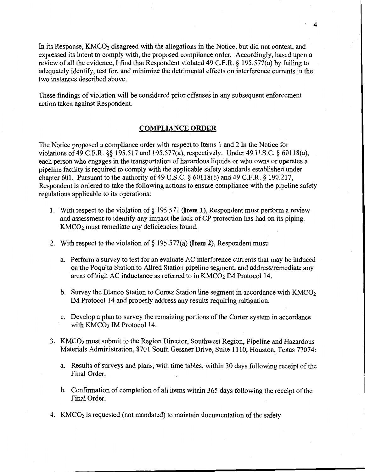In its Response,  $KMCO<sub>2</sub>$  disagreed with the allegations in the Notice, but did not contest, and expressed its intent to comply with, the proposed compliance order. Accordingly, based upon a review of all the evidence, I find that Respondent violated 49 C.P.R.§ 195.577(a) by failing to adequately identify, test for, and minimize the detrimental effects on interference currents in the two instances described above.

These findings of violation will be considered prior offenses in any subsequent enforcement action taken against Respondent.

### **COMPLIANCE ORDER**

The Notice proposed a compliance order with respect to Items 1 and 2 in the Notice for violations of 49 C.P.R.§§ 195.517 and 195.577(a), respectively. Under 49 U.S.C. § 60118(a), each person who engages in the transportation of hazardous liquids or who owns or operates a pipeline facility is required to comply with the applicable safety standards established under chapter 601. Pursuant to the authority of 49 U.S.C.  $\S$  60118(b) and 49 C.F.R.  $\S$  190.217, Respondent is ordered to take the following actions to ensure compliance with the pipeline safety regulations applicable to its operations:

- 1. With respect to the violation of§ 195.571 **(Item 1),** Respondent must perform a review and assessment to identify any impact the lack of CP protection has had on its piping. KMC02 must remediate any deficiencies found.
- 2. With respect to the violation of§ 195.577(a) **(Item 2),** Respondent must:
	- a. Perform a survey to test for an evaluate AC interference currents that may be induced on the Poquita Station to Allred Station pipeline segment, and address/remediate any areas of high AC inductance as referred to in  $KMCO<sub>2</sub>$  IM Protocol 14.
	- b. Survey the Blanco Station to Cortez Station line segment in accordance with  $KMCO<sub>2</sub>$ IM Protocol 14 and properly address any results requiring mitigation.
	- c. Develop a plan to survey the remaining portions of the Cortez system in accordance with KMCO<sub>2</sub> IM Protocol 14.
- 3. KMC02 must submit to the Region Director, Southwest Region, Pipeline and Hazardous Materials Administration, 8701 South Gessner Drive, Suite 1110, Houston, Texas 77074:
	- a. Results of surveys and plans, with time tables, within 30 days following receipt of the Final Order.
	- b. Confirmation of completion of all items within 365 days following the receipt of the Final Order.
- 4. KMCO<sub>2</sub> is requested (not mandated) to maintain documentation of the safety